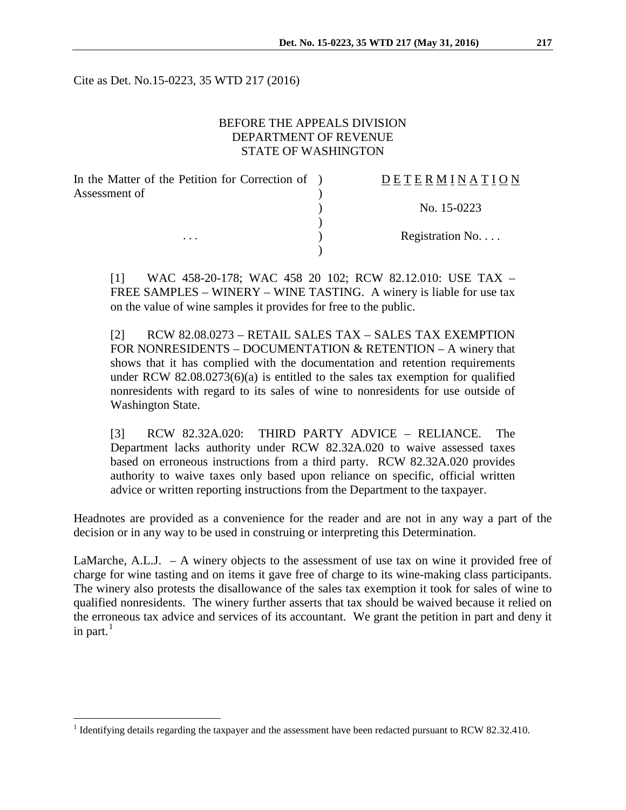Cite as Det. No.15-0223, 35 WTD 217 (2016)

# BEFORE THE APPEALS DIVISION DEPARTMENT OF REVENUE STATE OF WASHINGTON

| In the Matter of the Petition for Correction of ) | DETERMINATION    |
|---------------------------------------------------|------------------|
| Assessment of<br>$\cdots$                         |                  |
|                                                   | No. 15-0223      |
|                                                   |                  |
|                                                   | Registration No. |
|                                                   |                  |

[1] WAC 458-20-178; WAC 458 20 102; RCW 82.12.010: USE TAX – FREE SAMPLES – WINERY – WINE TASTING. A winery is liable for use tax on the value of wine samples it provides for free to the public.

[2] RCW 82.08.0273 – RETAIL SALES TAX – SALES TAX EXEMPTION FOR NONRESIDENTS – DOCUMENTATION & RETENTION – A winery that shows that it has complied with the documentation and retention requirements under RCW 82.08.0273(6)(a) is entitled to the sales tax exemption for qualified nonresidents with regard to its sales of wine to nonresidents for use outside of Washington State.

[3] RCW 82.32A.020: THIRD PARTY ADVICE – RELIANCE. The Department lacks authority under RCW 82.32A.020 to waive assessed taxes based on erroneous instructions from a third party. RCW 82.32A.020 provides authority to waive taxes only based upon reliance on specific, official written advice or written reporting instructions from the Department to the taxpayer.

Headnotes are provided as a convenience for the reader and are not in any way a part of the decision or in any way to be used in construing or interpreting this Determination.

LaMarche, A.L.J. – A winery objects to the assessment of use tax on wine it provided free of charge for wine tasting and on items it gave free of charge to its wine-making class participants. The winery also protests the disallowance of the sales tax exemption it took for sales of wine to qualified nonresidents. The winery further asserts that tax should be waived because it relied on the erroneous tax advice and services of its accountant. We grant the petition in part and deny it in part.<sup>[1](#page-0-0)</sup>

<span id="page-0-0"></span><sup>&</sup>lt;sup>1</sup> Identifying details regarding the taxpayer and the assessment have been redacted pursuant to RCW 82.32.410.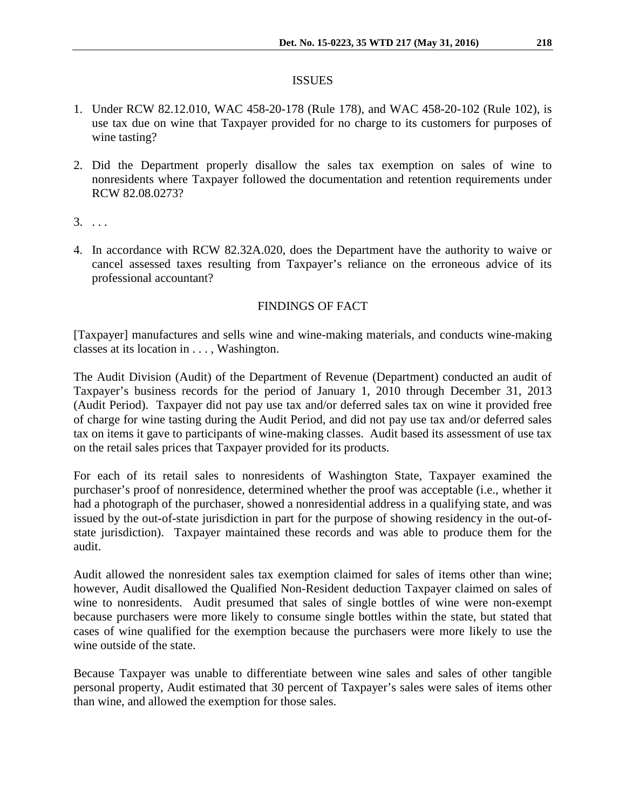## ISSUES

- 1. Under RCW 82.12.010, WAC 458-20-178 (Rule 178), and WAC 458-20-102 (Rule 102), is use tax due on wine that Taxpayer provided for no charge to its customers for purposes of wine tasting?
- 2. Did the Department properly disallow the sales tax exemption on sales of wine to nonresidents where Taxpayer followed the documentation and retention requirements under RCW 82.08.0273?
- $3. \ldots$
- 4. In accordance with RCW 82.32A.020, does the Department have the authority to waive or cancel assessed taxes resulting from Taxpayer's reliance on the erroneous advice of its professional accountant?

# FINDINGS OF FACT

[Taxpayer] manufactures and sells wine and wine-making materials, and conducts wine-making classes at its location in . . . , Washington.

The Audit Division (Audit) of the Department of Revenue (Department) conducted an audit of Taxpayer's business records for the period of January 1, 2010 through December 31, 2013 (Audit Period). Taxpayer did not pay use tax and/or deferred sales tax on wine it provided free of charge for wine tasting during the Audit Period, and did not pay use tax and/or deferred sales tax on items it gave to participants of wine-making classes. Audit based its assessment of use tax on the retail sales prices that Taxpayer provided for its products.

For each of its retail sales to nonresidents of Washington State, Taxpayer examined the purchaser's proof of nonresidence, determined whether the proof was acceptable (i.e., whether it had a photograph of the purchaser, showed a nonresidential address in a qualifying state, and was issued by the out-of-state jurisdiction in part for the purpose of showing residency in the out-ofstate jurisdiction). Taxpayer maintained these records and was able to produce them for the audit.

Audit allowed the nonresident sales tax exemption claimed for sales of items other than wine; however, Audit disallowed the Qualified Non-Resident deduction Taxpayer claimed on sales of wine to nonresidents. Audit presumed that sales of single bottles of wine were non-exempt because purchasers were more likely to consume single bottles within the state, but stated that cases of wine qualified for the exemption because the purchasers were more likely to use the wine outside of the state.

Because Taxpayer was unable to differentiate between wine sales and sales of other tangible personal property, Audit estimated that 30 percent of Taxpayer's sales were sales of items other than wine, and allowed the exemption for those sales.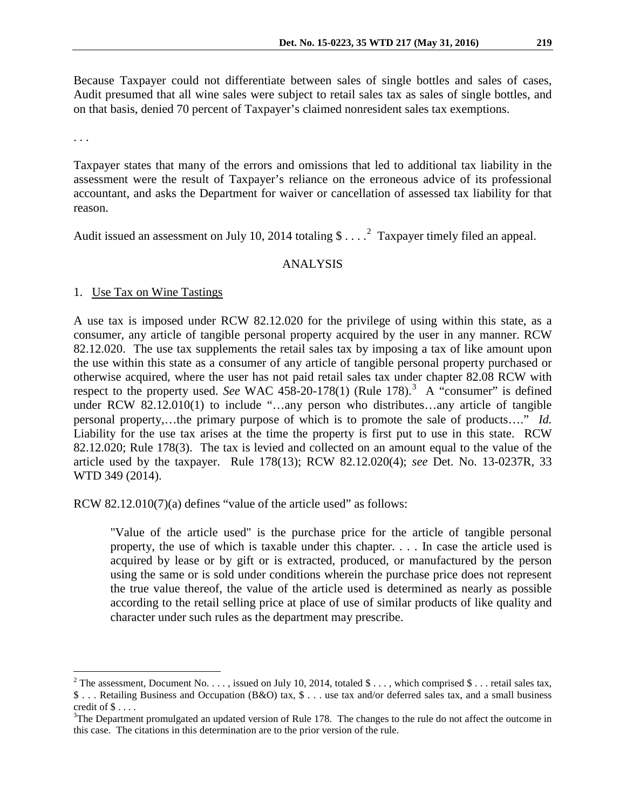Because Taxpayer could not differentiate between sales of single bottles and sales of cases, Audit presumed that all wine sales were subject to retail sales tax as sales of single bottles, and on that basis, denied 70 percent of Taxpayer's claimed nonresident sales tax exemptions.

. . .

Taxpayer states that many of the errors and omissions that led to additional tax liability in the assessment were the result of Taxpayer's reliance on the erroneous advice of its professional accountant, and asks the Department for waiver or cancellation of assessed tax liability for that reason.

Audit issued an assessment on July 10, [2](#page-2-0)014 totaling  $\frac{1}{2}$ ....<sup>2</sup> Taxpayer timely filed an appeal.

# ANALYSIS

#### 1. Use Tax on Wine Tastings

A use tax is imposed under RCW 82.12.020 for the privilege of using within this state, as a consumer, any article of tangible personal property acquired by the user in any manner. RCW 82.12.020. The use tax supplements the retail sales tax by imposing a tax of like amount upon the use within this state as a consumer of any article of tangible personal property purchased or otherwise acquired, where the user has not paid retail sales tax under chapter 82.08 RCW with respect to the property used. *See* WAC 458-20-178(1) (Rule 178).<sup>[3](#page-2-1)</sup> A "consumer" is defined under RCW 82.12.010(1) to include "...any person who distributes...any article of tangible personal property,…the primary purpose of which is to promote the sale of products…." *Id.* Liability for the use tax arises at the time the property is first put to use in this state. RCW 82.12.020; Rule 178(3). The tax is levied and collected on an amount equal to the value of the article used by the taxpayer. Rule 178(13); RCW 82.12.020(4); *see* Det. No. 13-0237R, 33 WTD 349 (2014).

RCW 82.12.010(7)(a) defines "value of the article used" as follows:

"Value of the article used" is the purchase price for the article of tangible personal property, the use of which is taxable under this chapter. . . . In case the article used is acquired by lease or by gift or is extracted, produced, or manufactured by the person using the same or is sold under conditions wherein the purchase price does not represent the true value thereof, the value of the article used is determined as nearly as possible according to the retail selling price at place of use of similar products of like quality and character under such rules as the department may prescribe.

<span id="page-2-0"></span><sup>&</sup>lt;sup>2</sup> The assessment, Document No. . . . , issued on July 10, 2014, totaled \$ . . . , which comprised \$ . . . retail sales tax, \$ . . . Retailing Business and Occupation (B&O) tax, \$ . . . use tax and/or deferred sales tax, and a small business credit of \$ . . . .<br><sup>3</sup>The Department promulgated an updated version of Rule 178. The changes to the rule do not affect the outcome in

<span id="page-2-1"></span>this case. The citations in this determination are to the prior version of the rule.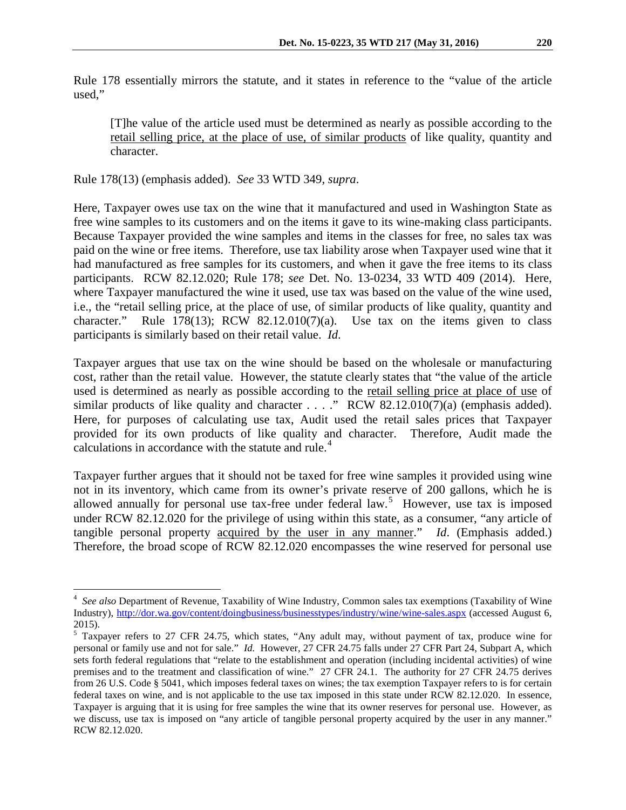Rule 178 essentially mirrors the statute, and it states in reference to the "value of the article used,"

[T]he value of the article used must be determined as nearly as possible according to the retail selling price, at the place of use, of similar products of like quality, quantity and character.

Rule 178(13) (emphasis added). *See* 33 WTD 349, *supra*.

Here, Taxpayer owes use tax on the wine that it manufactured and used in Washington State as free wine samples to its customers and on the items it gave to its wine-making class participants. Because Taxpayer provided the wine samples and items in the classes for free, no sales tax was paid on the wine or free items. Therefore, use tax liability arose when Taxpayer used wine that it had manufactured as free samples for its customers, and when it gave the free items to its class participants. RCW 82.12.020; Rule 178; *see* Det. No. 13-0234, 33 WTD 409 (2014). Here, where Taxpayer manufactured the wine it used, use tax was based on the value of the wine used, i.e., the "retail selling price, at the place of use, of similar products of like quality, quantity and character." Rule 178(13); RCW 82.12.010(7)(a). Use tax on the items given to class participants is similarly based on their retail value. *Id*.

Taxpayer argues that use tax on the wine should be based on the wholesale or manufacturing cost, rather than the retail value. However, the statute clearly states that "the value of the article used is determined as nearly as possible according to the retail selling price at place of use of similar products of like quality and character  $\dots$  ." RCW 82.12.010(7)(a) (emphasis added). Here, for purposes of calculating use tax, Audit used the retail sales prices that Taxpayer provided for its own products of like quality and character. Therefore, Audit made the calculations in accordance with the statute and rule.<sup>[4](#page-3-0)</sup>

Taxpayer further argues that it should not be taxed for free wine samples it provided using wine not in its inventory, which came from its owner's private reserve of 200 gallons, which he is allowed annually for personal use tax-free under federal law.<sup>[5](#page-3-1)</sup> However, use tax is imposed under RCW 82.12.020 for the privilege of using within this state, as a consumer, "any article of tangible personal property acquired by the user in any manner." *Id*. (Emphasis added.) Therefore, the broad scope of RCW 82.12.020 encompasses the wine reserved for personal use

<span id="page-3-0"></span> $\frac{1}{4}$  *See also* Department of Revenue, Taxability of Wine Industry, Common sales tax exemptions (Taxability of Wine Industry),<http://dor.wa.gov/content/doingbusiness/businesstypes/industry/wine/wine-sales.aspx> (accessed August 6, 2015).

<span id="page-3-1"></span><sup>5</sup> Taxpayer refers to 27 CFR 24.75, which states, "Any adult may, without payment of tax, produce wine for personal or family use and not for sale." *Id.* However, 27 CFR 24.75 falls under 27 CFR Part 24, Subpart A, which sets forth federal regulations that "relate to the establishment and operation (including incidental activities) of [wine](https://www.law.cornell.edu/definitions/index.php?width=840&height=800&iframe=true&def_id=843d20fd55ba05409da3aebe1baf6434&term_occur=1&term_src=lii:cfr:2014:27:0:-:I:A:24:A:24.1)  [premises](https://www.law.cornell.edu/definitions/index.php?width=840&height=800&iframe=true&def_id=843d20fd55ba05409da3aebe1baf6434&term_occur=1&term_src=lii:cfr:2014:27:0:-:I:A:24:A:24.1) and to the treatment and classification of [wine.](https://www.law.cornell.edu/definitions/index.php?width=840&height=800&iframe=true&def_id=481c80ac90c0341e15979434c998bb8c&term_occur=1&term_src=lii:cfr:2014:27:0:-:I:A:24:A:24.1)" 27 CFR 24.1. The authority for 27 CFR 24.75 derives from 26 U.S. Code § 5041, which imposes federal taxes on wines; the tax exemption Taxpayer refers to is for certain federal taxes on wine, and is not applicable to the use tax imposed in this state under RCW 82.12.020. In essence, Taxpayer is arguing that it is using for free samples the wine that its owner reserves for personal use. However, as we discuss, use tax is imposed on "any article of tangible personal property acquired by the user in any manner." RCW 82.12.020.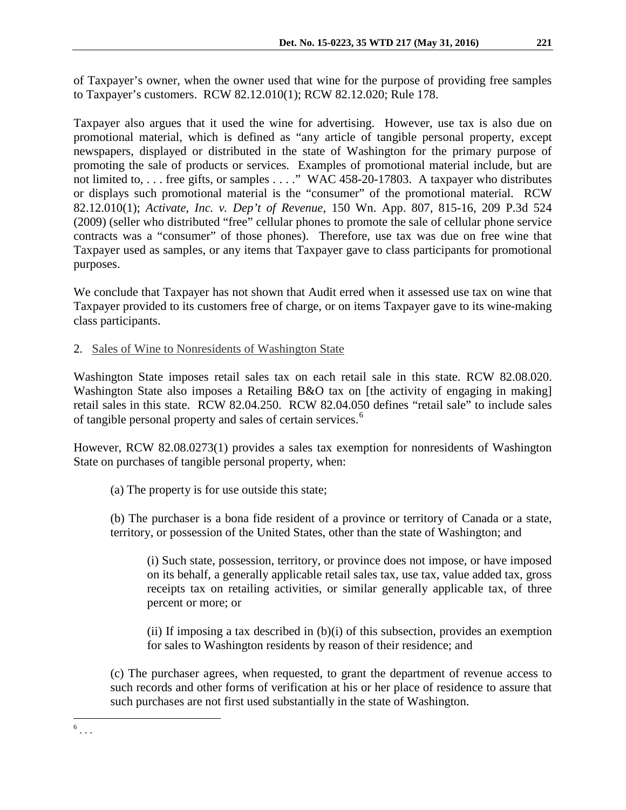of Taxpayer's owner, when the owner used that wine for the purpose of providing free samples to Taxpayer's customers. RCW 82.12.010(1); RCW 82.12.020; Rule 178.

Taxpayer also argues that it used the wine for advertising. However, use tax is also due on promotional material, which is defined as "any article of tangible personal property, except newspapers, displayed or distributed in the state of Washington for the primary purpose of promoting the sale of products or services. Examples of promotional material include, but are not limited to, . . . free gifts, or samples . . . ." WAC 458-20-17803. A taxpayer who distributes or displays such promotional material is the "consumer" of the promotional material. RCW 82.12.010(1); *Activate, Inc. v. Dep't of Revenue*, 150 Wn. App. 807, 815-16, 209 P.3d 524 (2009) (seller who distributed "free" cellular phones to promote the sale of cellular phone service contracts was a "consumer" of those phones). Therefore, use tax was due on free wine that Taxpayer used as samples, or any items that Taxpayer gave to class participants for promotional purposes.

We conclude that Taxpayer has not shown that Audit erred when it assessed use tax on wine that Taxpayer provided to its customers free of charge, or on items Taxpayer gave to its wine-making class participants.

2. Sales of Wine to Nonresidents of Washington State

Washington State imposes retail sales tax on each retail sale in this state. RCW 82.08.020. Washington State also imposes a Retailing B&O tax on [the activity of engaging in making] retail sales in this state. RCW 82.04.250. RCW 82.04.050 defines "retail sale" to include sales of tangible personal property and sales of certain services.<sup>[6](#page-4-0)</sup>

However, RCW 82.08.0273(1) provides a sales tax exemption for nonresidents of Washington State on purchases of tangible personal property, when:

(a) The property is for use outside this state;

<span id="page-4-0"></span> $6 \ldots$ 

(b) The purchaser is a bona fide resident of a province or territory of Canada or a state, territory, or possession of the United States, other than the state of Washington; and

(i) Such state, possession, territory, or province does not impose, or have imposed on its behalf, a generally applicable retail sales tax, use tax, value added tax, gross receipts tax on retailing activities, or similar generally applicable tax, of three percent or more; or

(ii) If imposing a tax described in (b)(i) of this subsection, provides an exemption for sales to Washington residents by reason of their residence; and

(c) The purchaser agrees, when requested, to grant the department of revenue access to such records and other forms of verification at his or her place of residence to assure that such purchases are not first used substantially in the state of Washington.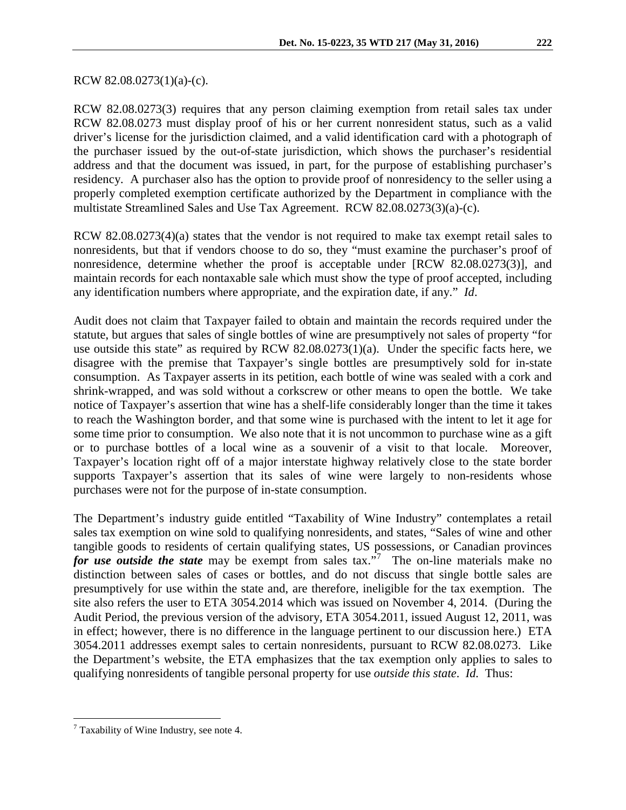## RCW 82.08.0273(1)(a)-(c).

RCW 82.08.0273(3) requires that any person claiming exemption from retail sales tax under RCW 82.08.0273 must display proof of his or her current nonresident status, such as a valid driver's license for the jurisdiction claimed, and a valid identification card with a photograph of the purchaser issued by the out-of-state jurisdiction, which shows the purchaser's residential address and that the document was issued, in part, for the purpose of establishing purchaser's residency. A purchaser also has the option to provide proof of nonresidency to the seller using a properly completed exemption certificate authorized by the Department in compliance with the multistate Streamlined Sales and Use Tax Agreement. RCW 82.08.0273(3)(a)-(c).

RCW 82.08.0273(4)(a) states that the vendor is not required to make tax exempt retail sales to nonresidents, but that if vendors choose to do so, they "must examine the purchaser's proof of nonresidence, determine whether the proof is acceptable under [RCW 82.08.0273(3)], and maintain records for each nontaxable sale which must show the type of proof accepted, including any identification numbers where appropriate, and the expiration date, if any." *Id*.

Audit does not claim that Taxpayer failed to obtain and maintain the records required under the statute, but argues that sales of single bottles of wine are presumptively not sales of property "for use outside this state" as required by RCW 82.08.0273(1)(a). Under the specific facts here, we disagree with the premise that Taxpayer's single bottles are presumptively sold for in-state consumption. As Taxpayer asserts in its petition, each bottle of wine was sealed with a cork and shrink-wrapped, and was sold without a corkscrew or other means to open the bottle. We take notice of Taxpayer's assertion that wine has a shelf-life considerably longer than the time it takes to reach the Washington border, and that some wine is purchased with the intent to let it age for some time prior to consumption. We also note that it is not uncommon to purchase wine as a gift or to purchase bottles of a local wine as a souvenir of a visit to that locale. Moreover, Taxpayer's location right off of a major interstate highway relatively close to the state border supports Taxpayer's assertion that its sales of wine were largely to non-residents whose purchases were not for the purpose of in-state consumption.

The Department's industry guide entitled "Taxability of Wine Industry" contemplates a retail sales tax exemption on wine sold to qualifying nonresidents, and states, "Sales of wine and other tangible goods to residents of certain qualifying states, US possessions, or Canadian provinces for use outside the state may be exempt from sales tax.<sup>5[7](#page-5-0)</sup> The on-line materials make no distinction between sales of cases or bottles, and do not discuss that single bottle sales are presumptively for use within the state and, are therefore, ineligible for the tax exemption. The site also refers the user to ETA 3054.2014 which was issued on November 4, 2014. (During the Audit Period, the previous version of the advisory, ETA 3054.2011, issued August 12, 2011, was in effect; however, there is no difference in the language pertinent to our discussion here.) ETA 3054.2011 addresses exempt sales to certain nonresidents, pursuant to RCW 82.08.0273. Like the Department's website, the ETA emphasizes that the tax exemption only applies to sales to qualifying nonresidents of tangible personal property for use *outside this state*. *Id.* Thus:

<span id="page-5-0"></span> $7$  Taxability of Wine Industry, see note 4.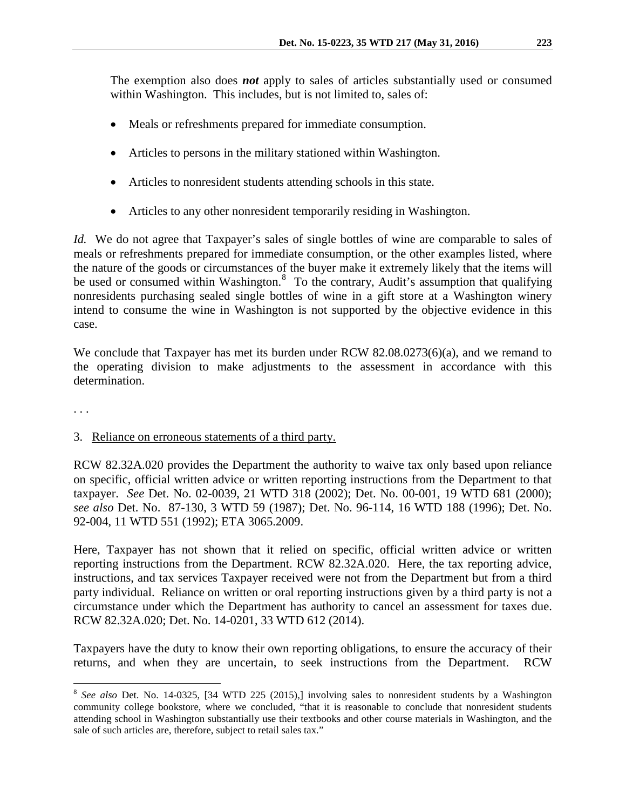The exemption also does *not* apply to sales of articles substantially used or consumed within Washington. This includes, but is not limited to, sales of:

- Meals or refreshments prepared for immediate consumption.
- Articles to persons in the military stationed within Washington.
- Articles to nonresident students attending schools in this state.
- Articles to any other nonresident temporarily residing in Washington.

*Id.* We do not agree that Taxpayer's sales of single bottles of wine are comparable to sales of meals or refreshments prepared for immediate consumption, or the other examples listed, where the nature of the goods or circumstances of the buyer make it extremely likely that the items will be used or consumed within Washington.<sup>[8](#page-6-0)</sup> To the contrary, Audit's assumption that qualifying nonresidents purchasing sealed single bottles of wine in a gift store at a Washington winery intend to consume the wine in Washington is not supported by the objective evidence in this case.

We conclude that Taxpayer has met its burden under RCW 82.08.0273(6)(a), and we remand to the operating division to make adjustments to the assessment in accordance with this determination.

. . .

# 3. Reliance on erroneous statements of a third party.

RCW 82.32A.020 provides the Department the authority to waive tax only based upon reliance on specific, official written advice or written reporting instructions from the Department to that taxpayer. *See* Det. No. 02-0039, 21 WTD 318 (2002); Det. No. 00-001, 19 WTD 681 (2000); *see also* Det. No. 87-130, 3 WTD 59 (1987); Det. No. 96-114, 16 WTD 188 (1996); Det. No. 92-004, 11 WTD 551 (1992); ETA 3065.2009.

Here, Taxpayer has not shown that it relied on specific, official written advice or written reporting instructions from the Department. RCW 82.32A.020. Here, the tax reporting advice, instructions, and tax services Taxpayer received were not from the Department but from a third party individual. Reliance on written or oral reporting instructions given by a third party is not a circumstance under which the Department has authority to cancel an assessment for taxes due. RCW 82.32A.020; Det. No. 14-0201, 33 WTD 612 (2014).

Taxpayers have the duty to know their own reporting obligations, to ensure the accuracy of their returns, and when they are uncertain, to seek instructions from the Department. RCW

<span id="page-6-0"></span> <sup>8</sup> *See also* Det. No. 14-0325, [34 WTD 225 (2015),] involving sales to nonresident students by a Washington community college bookstore, where we concluded, "that it is reasonable to conclude that nonresident students attending school in Washington substantially use their textbooks and other course materials in Washington, and the sale of such articles are, therefore, subject to retail sales tax."